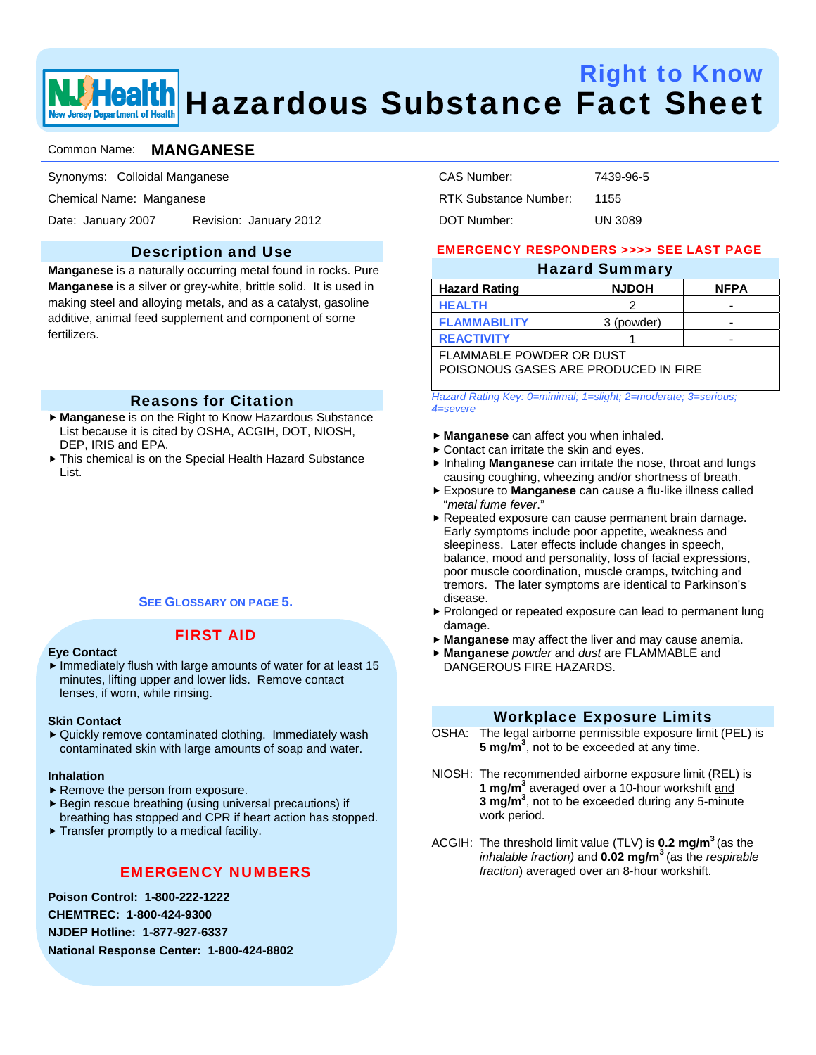

# Right to Know **Halth Hazardous Substance Fact Sheet**

#### Common Name: **MANGANESE**

Synonyms: Colloidal Manganese

Chemical Name: Manganese

Date: January 2007 Revision: January 2012

#### Description and Use

**Manganese** is a naturally occurring metal found in rocks. Pure **Manganese** is a silver or grey-white, brittle solid. It is used in making steel and alloying metals, and as a catalyst, gasoline additive, animal feed supplement and component of some fertilizers.

#### Reasons for Citation

- ▶ Manganese is on the Right to Know Hazardous Substance List because it is cited by OSHA, ACGIH, DOT, NIOSH, DEP, IRIS and EPA.
- $\triangleright$  This chemical is on the Special Health Hazard Substance List.

#### **SEE GLOSSARY ON PAGE 5.**

FIRST AID

#### **Eye Contact**

 $\blacktriangleright$  Immediately flush with large amounts of water for at least 15 minutes, lifting upper and lower lids. Remove contact lenses, if worn, while rinsing.

#### **Skin Contact**

 $\blacktriangleright$  Quickly remove contaminated clothing. Immediately wash contaminated skin with large amounts of soap and water.

#### **Inhalation**

- $\blacktriangleright$  Remove the person from exposure.
- $\blacktriangleright$  Begin rescue breathing (using universal precautions) if breathing has stopped and CPR if heart action has stopped.
- $\blacktriangleright$  Transfer promptly to a medical facility.

#### EMERGENCY NUMBERS

**Poison Control: 1-800-222-1222 CHEMTREC: 1-800-424-9300** 

**NJDEP Hotline: 1-877-927-6337** 

**National Response Center: 1-800-424-8802** 

| CAS Number:           | 7439-96-5      |
|-----------------------|----------------|
| RTK Substance Number: | 1155           |
| DOT Number:           | <b>UN 3089</b> |

#### EMERGENCY RESPONDERS >>>> SEE LAST PAGE

| <b>Hazard Summary</b>      |              |             |  |
|----------------------------|--------------|-------------|--|
| <b>Hazard Rating</b>       | <b>NJDOH</b> | <b>NFPA</b> |  |
| <b>HEALTH</b>              |              | -           |  |
| <b>FLAMMABILITY</b>        | 3 (powder)   | -           |  |
| <b>REACTIVITY</b>          |              | -           |  |
| FI AMMARI E POWDER OR DUST |              |             |  |

POISONOUS GASES ARE PRODUCED IN FIRE

*Hazard Rating Key: 0=minimal; 1=slight; 2=moderate; 3=serious; 4=severe*

- **Manganese** can affect you when inhaled.
- $\triangleright$  Contact can irritate the skin and eyes.
- **F** Inhaling **Manganese** can irritate the nose, throat and lungs causing coughing, wheezing and/or shortness of breath.
- f Exposure to **Manganese** can cause a flu-like illness called "*metal fume fever*."
- Repeated exposure can cause permanent brain damage. Early symptoms include poor appetite, weakness and sleepiness. Later effects include changes in speech, balance, mood and personality, loss of facial expressions, poor muscle coordination, muscle cramps, twitching and tremors. The later symptoms are identical to Parkinson's disease.
- **Prolonged or repeated exposure can lead to permanent lung** damage.
- **Manganese** may affect the liver and may cause anemia.
- **Manganese** *powder* and *dust* are FLAMMABLE and DANGEROUS FIRE HAZARDS.

#### Workplace Exposure Limits

- OSHA: The legal airborne permissible exposure limit (PEL) is **5 mg/m3** , not to be exceeded at any time.
- NIOSH: The recommended airborne exposure limit (REL) is **1 mg/m<sup>3</sup> averaged over a 10-hour workshift and 3 mg/m<sup>3</sup>**, not to be exceeded during any 5-minute work period.
- ACGIH: The threshold limit value (TLV) is **0.2 mg/m3** (as the *inhalable fraction)* and **0.02 mg/m3** (as the *respirable fraction*) averaged over an 8-hour workshift.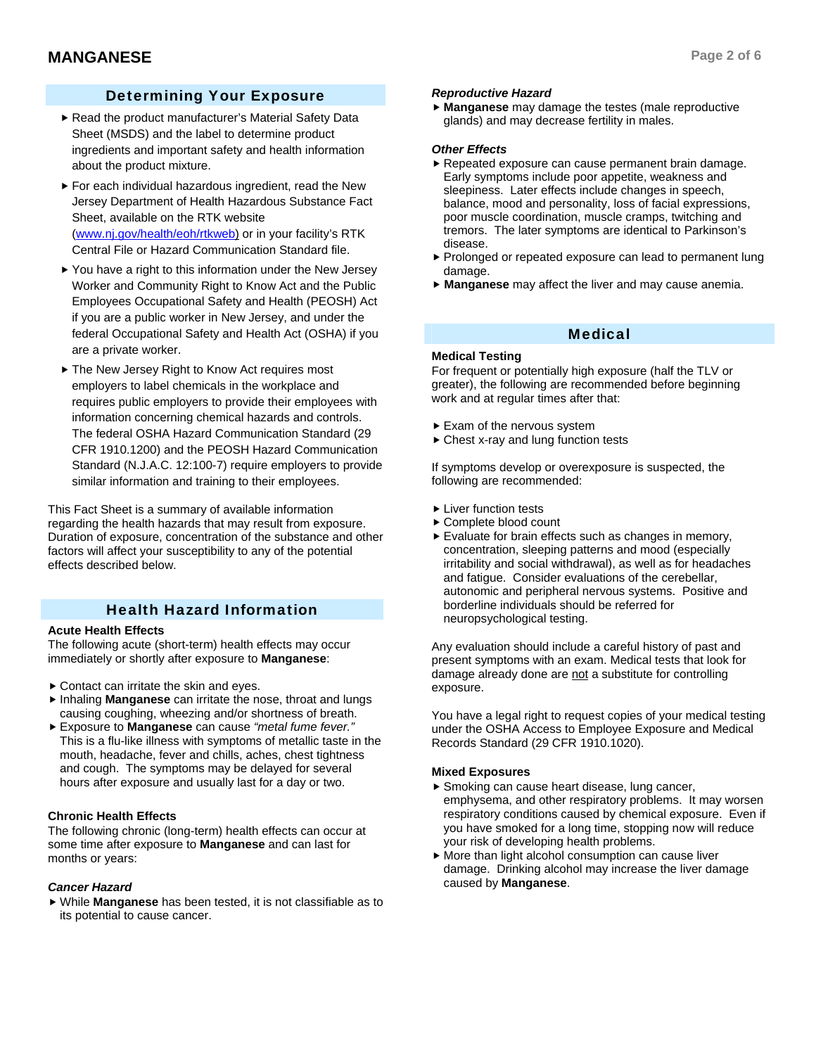### Determining Your Exposure

- Read the product manufacturer's Material Safety Data Sheet (MSDS) and the label to determine product ingredients and important safety and health information about the product mixture.
- $\blacktriangleright$  For each individual hazardous ingredient, read the New Jersey Department of Health Hazardous Substance Fact Sheet, available on the RTK website (www.nj.gov/health/eoh/rtkweb) or in your facility's RTK Central File or Hazard Communication Standard file.
- $\blacktriangleright$  You have a right to this information under the New Jersey Worker and Community Right to Know Act and the Public Employees Occupational Safety and Health (PEOSH) Act if you are a public worker in New Jersey, and under the federal Occupational Safety and Health Act (OSHA) if you are a private worker.
- ▶ The New Jersey Right to Know Act requires most employers to label chemicals in the workplace and requires public employers to provide their employees with information concerning chemical hazards and controls. The federal OSHA Hazard Communication Standard (29 CFR 1910.1200) and the PEOSH Hazard Communication Standard (N.J.A.C. 12:100-7) require employers to provide similar information and training to their employees.

This Fact Sheet is a summary of available information regarding the health hazards that may result from exposure. Duration of exposure, concentration of the substance and other factors will affect your susceptibility to any of the potential effects described below.

#### Health Hazard Information

#### **Acute Health Effects**

The following acute (short-term) health effects may occur immediately or shortly after exposure to **Manganese**:

- $\triangleright$  Contact can irritate the skin and eves.
- **F** Inhaling **Manganese** can irritate the nose, throat and lungs causing coughing, wheezing and/or shortness of breath.
- f Exposure to **Manganese** can cause *"metal fume fever."* This is a flu-like illness with symptoms of metallic taste in the mouth, headache, fever and chills, aches, chest tightness and cough. The symptoms may be delayed for several hours after exposure and usually last for a day or two.

#### **Chronic Health Effects**

The following chronic (long-term) health effects can occur at some time after exposure to **Manganese** and can last for months or years:

#### *Cancer Hazard*

f While **Manganese** has been tested, it is not classifiable as to its potential to cause cancer.

#### *Reproductive Hazard*

**Manganese** may damage the testes (male reproductive glands) and may decrease fertility in males.

#### *Other Effects*

- Repeated exposure can cause permanent brain damage. Early symptoms include poor appetite, weakness and sleepiness. Later effects include changes in speech, balance, mood and personality, loss of facial expressions, poor muscle coordination, muscle cramps, twitching and tremors. The later symptoms are identical to Parkinson's disease.
- **Prolonged or repeated exposure can lead to permanent lung** damage.
- **Manganese** may affect the liver and may cause anemia.

#### Medical

#### **Medical Testing**

For frequent or potentially high exposure (half the TLV or greater), the following are recommended before beginning work and at regular times after that:

- $\blacktriangleright$  Exam of the nervous system
- $\blacktriangleright$  Chest x-ray and lung function tests

If symptoms develop or overexposure is suspected, the following are recommended:

- $\blacktriangleright$  Liver function tests
- $\blacktriangleright$  Complete blood count
- $\blacktriangleright$  Evaluate for brain effects such as changes in memory, concentration, sleeping patterns and mood (especially irritability and social withdrawal), as well as for headaches and fatigue. Consider evaluations of the cerebellar, autonomic and peripheral nervous systems. Positive and borderline individuals should be referred for neuropsychological testing.

Any evaluation should include a careful history of past and present symptoms with an exam. Medical tests that look for damage already done are not a substitute for controlling exposure.

You have a legal right to request copies of your medical testing under the OSHA Access to Employee Exposure and Medical Records Standard (29 CFR 1910.1020).

#### **Mixed Exposures**

- ▶ Smoking can cause heart disease, lung cancer, emphysema, and other respiratory problems. It may worsen respiratory conditions caused by chemical exposure. Even if you have smoked for a long time, stopping now will reduce your risk of developing health problems.
- $\blacktriangleright$  More than light alcohol consumption can cause liver damage. Drinking alcohol may increase the liver damage caused by **Manganese**.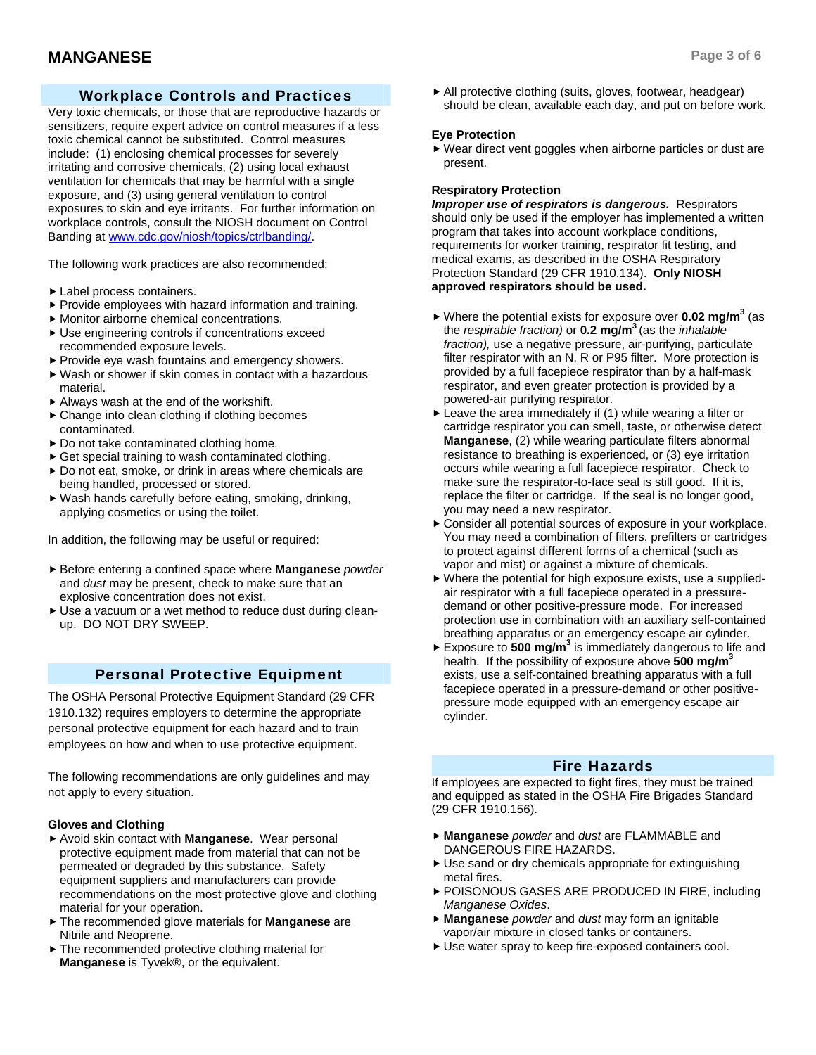### **MANGANESE** Page 3 of 6

Very toxic chemicals, or those that are reproductive hazards or sensitizers, require expert advice on control measures if a less toxic chemical cannot be substituted. Control measures include: (1) enclosing chemical processes for severely irritating and corrosive chemicals, (2) using local exhaust ventilation for chemicals that may be harmful with a single exposure, and (3) using general ventilation to control exposures to skin and eye irritants. For further information on workplace controls, consult the NIOSH document on Control Banding at www.cdc.gov/niosh/topics/ctrlbanding/.

The following work practices are also recommended:

- $\blacktriangleright$  Label process containers.
- $\blacktriangleright$  Provide employees with hazard information and training.
- $\blacktriangleright$  Monitor airborne chemical concentrations.
- $\blacktriangleright$  Use engineering controls if concentrations exceed recommended exposure levels.
- $\blacktriangleright$  Provide eye wash fountains and emergency showers.
- $\blacktriangleright$  Wash or shower if skin comes in contact with a hazardous material.
- $\blacktriangleright$  Always wash at the end of the workshift.
- $\triangleright$  Change into clean clothing if clothing becomes contaminated.
- $\triangleright$  Do not take contaminated clothing home.
- $\triangleright$  Get special training to wash contaminated clothing.
- $\triangleright$  Do not eat, smoke, or drink in areas where chemicals are being handled, processed or stored.
- $\blacktriangleright$  Wash hands carefully before eating, smoking, drinking, applying cosmetics or using the toilet.

In addition, the following may be useful or required:

- f Before entering a confined space where **Manganese** *powder* and *dust* may be present, check to make sure that an explosive concentration does not exist.
- ► Use a vacuum or a wet method to reduce dust during cleanup. DO NOT DRY SWEEP.

### Personal Protective Equipment

The OSHA Personal Protective Equipment Standard (29 CFR 1910.132) requires employers to determine the appropriate personal protective equipment for each hazard and to train employees on how and when to use protective equipment.

The following recommendations are only guidelines and may not apply to every situation.

#### **Gloves and Clothing**

- ▶ Avoid skin contact with **Manganese**. Wear personal protective equipment made from material that can not be permeated or degraded by this substance. Safety equipment suppliers and manufacturers can provide recommendations on the most protective glove and clothing material for your operation.
- $\blacktriangleright$  The recommended glove materials for **Manganese** are Nitrile and Neoprene.
- $\blacktriangleright$  The recommended protective clothing material for **Manganese** is Tyvek®, or the equivalent.

 $\blacktriangleright$  All protective clothing (suits, gloves, footwear, headgear) should be clean, available each day, and put on before work.

#### **Eye Protection**

 $\blacktriangleright$  Wear direct vent goggles when airborne particles or dust are present.

#### **Respiratory Protection**

*Improper use of respirators is dangerous.* Respirators should only be used if the employer has implemented a written program that takes into account workplace conditions, requirements for worker training, respirator fit testing, and medical exams, as described in the OSHA Respiratory Protection Standard (29 CFR 1910.134). **Only NIOSH approved respirators should be used.** 

- ▶ Where the potential exists for exposure over **0.02 mg/m<sup>3</sup>** (as the *respirable fraction)* or **0.2 mg/m3** (as the *inhalable fraction),* use a negative pressure, air-purifying, particulate filter respirator with an N, R or P95 filter. More protection is provided by a full facepiece respirator than by a half-mask respirator, and even greater protection is provided by a powered-air purifying respirator.
- $\blacktriangleright$  Leave the area immediately if (1) while wearing a filter or cartridge respirator you can smell, taste, or otherwise detect **Manganese**, (2) while wearing particulate filters abnormal resistance to breathing is experienced, or (3) eye irritation occurs while wearing a full facepiece respirator. Check to make sure the respirator-to-face seal is still good. If it is, replace the filter or cartridge. If the seal is no longer good, you may need a new respirator.
- **Exercise Consider all potential sources of exposure in your workplace.** You may need a combination of filters, prefilters or cartridges to protect against different forms of a chemical (such as vapor and mist) or against a mixture of chemicals.
- $\blacktriangleright$  Where the potential for high exposure exists, use a suppliedair respirator with a full facepiece operated in a pressuredemand or other positive-pressure mode. For increased protection use in combination with an auxiliary self-contained breathing apparatus or an emergency escape air cylinder.
- ► Exposure to **500 mg/m<sup>3</sup>** is immediately dangerous to life and health. If the possibility of exposure above **500 mg/m3** exists, use a self-contained breathing apparatus with a full facepiece operated in a pressure-demand or other positivepressure mode equipped with an emergency escape air cylinder.

#### Fire Hazards

If employees are expected to fight fires, they must be trained and equipped as stated in the OSHA Fire Brigades Standard (29 CFR 1910.156).

- f **Manganese** *powder* and *dust* are FLAMMABLE and DANGEROUS FIRE HAZARDS.
- $\blacktriangleright$  Use sand or dry chemicals appropriate for extinguishing metal fires.
- ▶ POISONOUS GASES ARE PRODUCED IN FIRE, including *Manganese Oxides*.
- **Manganese** *powder* and *dust* may form an ignitable vapor/air mixture in closed tanks or containers.
- $\blacktriangleright$  Use water spray to keep fire-exposed containers cool.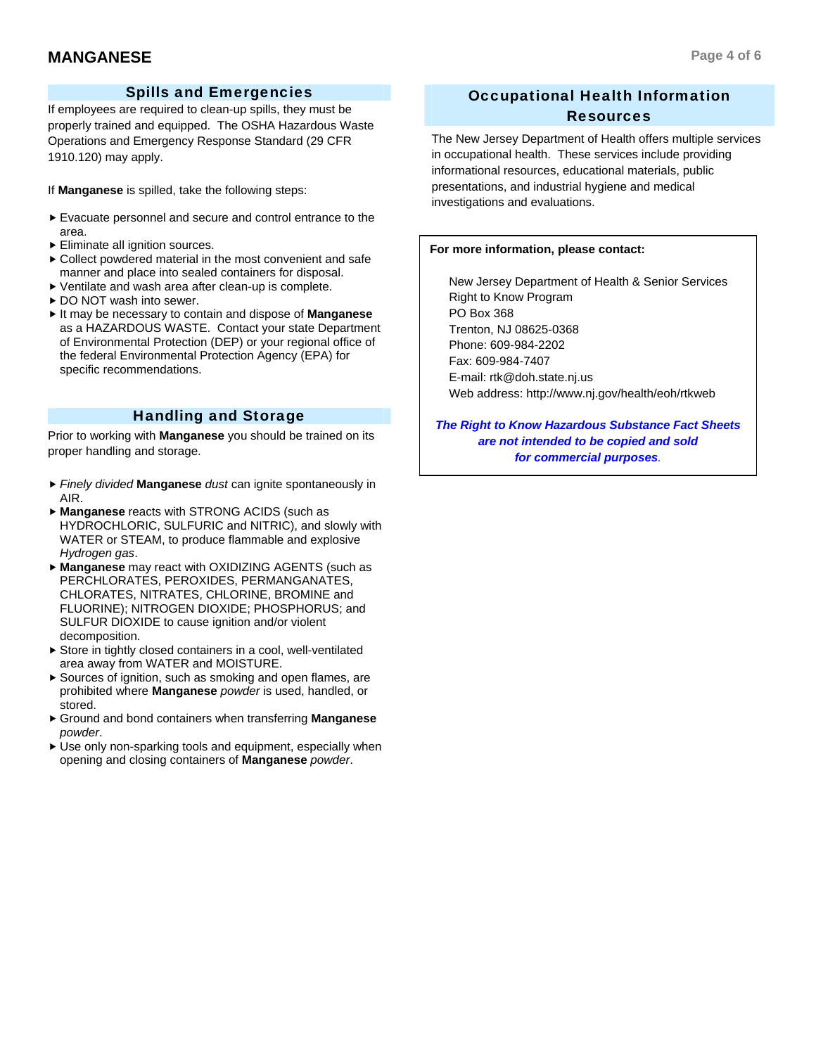#### Spills and Emergencies

If employees are required to clean-up spills, they must be properly trained and equipped. The OSHA Hazardous Waste Operations and Emergency Response Standard (29 CFR 1910.120) may apply.

If **Manganese** is spilled, take the following steps:

- $\blacktriangleright$  Evacuate personnel and secure and control entrance to the area.
- $\blacktriangleright$  Eliminate all ignition sources.
- $\blacktriangleright$  Collect powdered material in the most convenient and safe manner and place into sealed containers for disposal.
- $\blacktriangleright$  Ventilate and wash area after clean-up is complete.
- ▶ DO NOT wash into sewer.
- $\blacktriangleright$  It may be necessary to contain and dispose of **Manganese** as a HAZARDOUS WASTE. Contact your state Department of Environmental Protection (DEP) or your regional office of the federal Environmental Protection Agency (EPA) for specific recommendations.

#### Handling and Storage

Prior to working with **Manganese** you should be trained on its proper handling and storage.

- f *Finely divided* **Manganese** *dust* can ignite spontaneously in AIR.
- **Manganese** reacts with STRONG ACIDS (such as HYDROCHLORIC, SULFURIC and NITRIC), and slowly with WATER or STEAM, to produce flammable and explosive *Hydrogen gas*.
- **Manganese** may react with OXIDIZING AGENTS (such as PERCHLORATES, PEROXIDES, PERMANGANATES, CHLORATES, NITRATES, CHLORINE, BROMINE and FLUORINE); NITROGEN DIOXIDE; PHOSPHORUS; and SULFUR DIOXIDE to cause ignition and/or violent decomposition.
- $\triangleright$  Store in tightly closed containers in a cool, well-ventilated area away from WATER and MOISTURE.
- $\triangleright$  Sources of ignition, such as smoking and open flames, are prohibited where **Manganese** *powder* is used, handled, or stored.
- f Ground and bond containers when transferring **Manganese** *powder*.
- $\blacktriangleright$  Use only non-sparking tools and equipment, especially when opening and closing containers of **Manganese** *powder*.

## Occupational Health Information Resources

The New Jersey Department of Health offers multiple services in occupational health. These services include providing informational resources, educational materials, public presentations, and industrial hygiene and medical investigations and evaluations.

#### **For more information, please contact:**

 New Jersey Department of Health & Senior Services Right to Know Program PO Box 368 Trenton, NJ 08625-0368 Phone: 609-984-2202 Fax: 609-984-7407 E-mail: rtk@doh.state.nj.us Web address: http://www.nj.gov/health/eoh/rtkweb

*The Right to Know Hazardous Substance Fact Sheets are not intended to be copied and sold for commercial purposes.*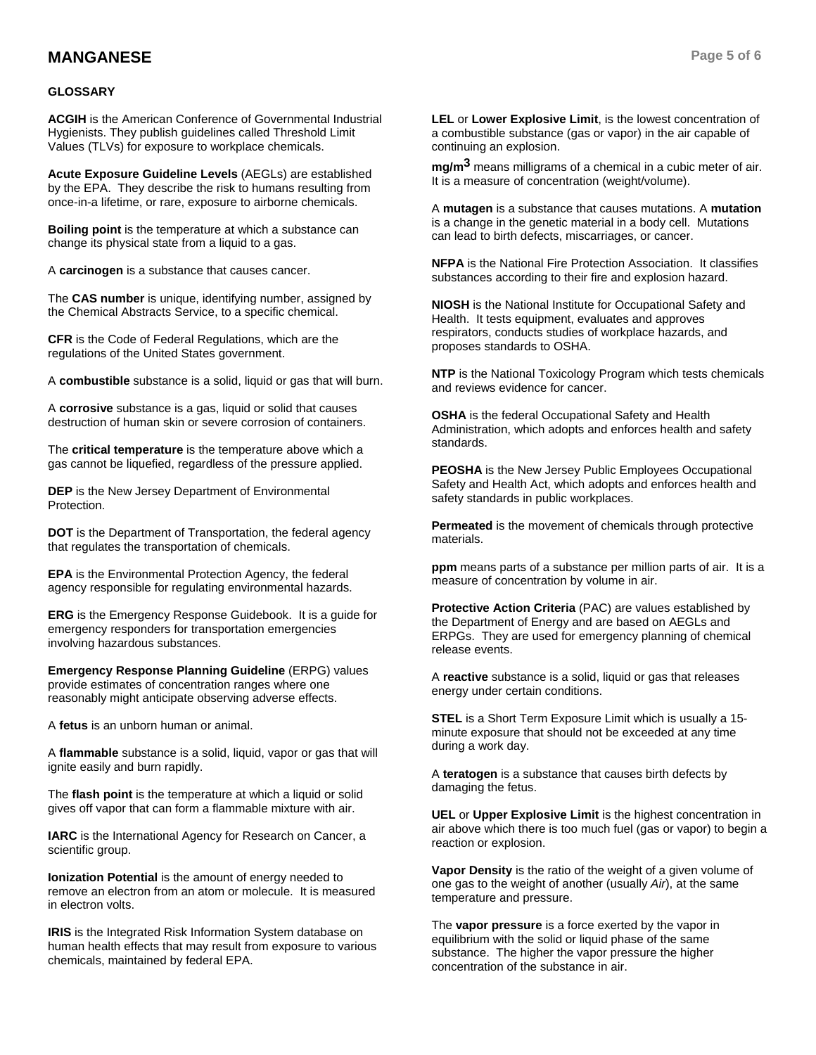### **MANGANESE** Page 5 of 6

#### **GLOSSARY**

**ACGIH** is the American Conference of Governmental Industrial Hygienists. They publish guidelines called Threshold Limit Values (TLVs) for exposure to workplace chemicals.

**Acute Exposure Guideline Levels** (AEGLs) are established by the EPA. They describe the risk to humans resulting from once-in-a lifetime, or rare, exposure to airborne chemicals.

**Boiling point** is the temperature at which a substance can change its physical state from a liquid to a gas.

A **carcinogen** is a substance that causes cancer.

The **CAS number** is unique, identifying number, assigned by the Chemical Abstracts Service, to a specific chemical.

**CFR** is the Code of Federal Regulations, which are the regulations of the United States government.

A **combustible** substance is a solid, liquid or gas that will burn.

A **corrosive** substance is a gas, liquid or solid that causes destruction of human skin or severe corrosion of containers.

The **critical temperature** is the temperature above which a gas cannot be liquefied, regardless of the pressure applied.

**DEP** is the New Jersey Department of Environmental Protection.

**DOT** is the Department of Transportation, the federal agency that regulates the transportation of chemicals.

**EPA** is the Environmental Protection Agency, the federal agency responsible for regulating environmental hazards.

**ERG** is the Emergency Response Guidebook. It is a guide for emergency responders for transportation emergencies involving hazardous substances.

**Emergency Response Planning Guideline** (ERPG) values provide estimates of concentration ranges where one reasonably might anticipate observing adverse effects.

A **fetus** is an unborn human or animal.

A **flammable** substance is a solid, liquid, vapor or gas that will ignite easily and burn rapidly.

The **flash point** is the temperature at which a liquid or solid gives off vapor that can form a flammable mixture with air.

**IARC** is the International Agency for Research on Cancer, a scientific group.

**Ionization Potential** is the amount of energy needed to remove an electron from an atom or molecule. It is measured in electron volts.

**IRIS** is the Integrated Risk Information System database on human health effects that may result from exposure to various chemicals, maintained by federal EPA.

**LEL** or **Lower Explosive Limit**, is the lowest concentration of a combustible substance (gas or vapor) in the air capable of continuing an explosion.

**mg/m3** means milligrams of a chemical in a cubic meter of air. It is a measure of concentration (weight/volume).

A **mutagen** is a substance that causes mutations. A **mutation** is a change in the genetic material in a body cell. Mutations can lead to birth defects, miscarriages, or cancer.

**NFPA** is the National Fire Protection Association. It classifies substances according to their fire and explosion hazard.

**NIOSH** is the National Institute for Occupational Safety and Health. It tests equipment, evaluates and approves respirators, conducts studies of workplace hazards, and proposes standards to OSHA.

**NTP** is the National Toxicology Program which tests chemicals and reviews evidence for cancer.

**OSHA** is the federal Occupational Safety and Health Administration, which adopts and enforces health and safety standards.

**PEOSHA** is the New Jersey Public Employees Occupational Safety and Health Act, which adopts and enforces health and safety standards in public workplaces.

**Permeated** is the movement of chemicals through protective materials.

**ppm** means parts of a substance per million parts of air. It is a measure of concentration by volume in air.

**Protective Action Criteria** (PAC) are values established by the Department of Energy and are based on AEGLs and ERPGs. They are used for emergency planning of chemical release events.

A **reactive** substance is a solid, liquid or gas that releases energy under certain conditions.

**STEL** is a Short Term Exposure Limit which is usually a 15 minute exposure that should not be exceeded at any time during a work day.

A **teratogen** is a substance that causes birth defects by damaging the fetus.

**UEL** or **Upper Explosive Limit** is the highest concentration in air above which there is too much fuel (gas or vapor) to begin a reaction or explosion.

**Vapor Density** is the ratio of the weight of a given volume of one gas to the weight of another (usually *Air*), at the same temperature and pressure.

The **vapor pressure** is a force exerted by the vapor in equilibrium with the solid or liquid phase of the same substance. The higher the vapor pressure the higher concentration of the substance in air.